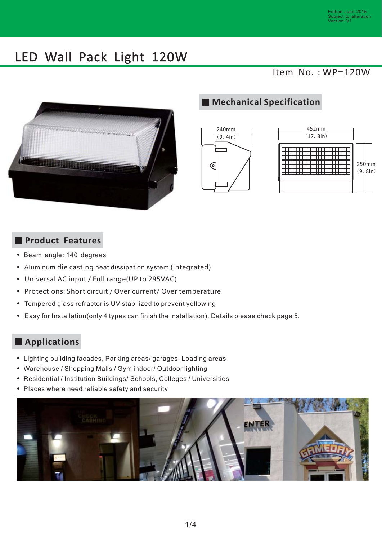Item  $No.:WP-120W$ 



## **Mechanical Specification**





#### **Product Features**

- Beam angle: 140 degrees
- Aluminum die casting heat dissipation system (integrated)
- Universal AC input / Full range(UP to 295VAC)
- Protections: Short circuit / Over current/ Over temperature
- Tempered glass refractor is UV stabilized to prevent yellowing
- Easy for Installation(only 4 types can finish the installation), Details please check page 5.

#### **Applications**

- Lighting building facades, Parking areas/ garages, Loading areas
- Warehouse / Shopping Malls / Gym indoor/ Outdoor lighting
- Residential / Institution Buildings/ Schools, Colleges / Universities
- Places where need reliable safety and security

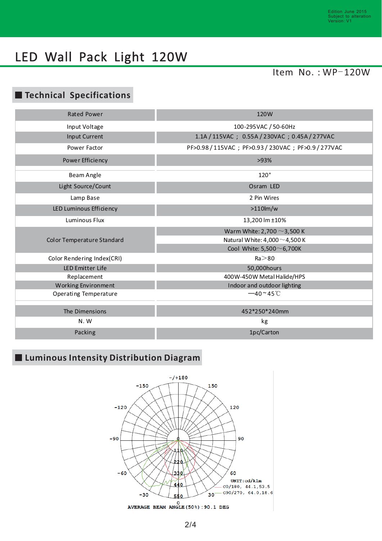## Item  $No. : WP-120W$

#### **Technical Specifications**

| <b>Rated Power</b>         | 120W                                          |
|----------------------------|-----------------------------------------------|
| Input Voltage              | 100-295 VAC / 50-60Hz                         |
| Input Current              | 1.1A / 115VAC; 0.55A / 230VAC; 0.45A / 277VAC |
| Power Factor               | PF>0.98/115VAC; PF>0.93/230VAC; PF>0.9/277VAC |
| Power Efficiency           | >93%                                          |
| Beam Angle                 | 120°                                          |
| Light Source/Count         | Osram LED                                     |
| Lamp Base                  | 2 Pin Wires                                   |
| LED Luminous Efficiency    | $>110$ lm/w                                   |
| Luminous Flux              | 13,200 lm ±10%                                |
| Color Temperature Standard | Warm White: 2,700 $\sim$ 3,500 K              |
|                            | Natural White: $4,000 \sim 4,500$ K           |
|                            | Cool White: $5,500 \sim 6,700$ K              |
| Color Rendering Index(CRI) | $Ra$ $>$ 80                                   |
| <b>LED Emitter Life</b>    | 50,000hours                                   |
| Replacement                | 400W-450W Metal Halide/HPS                    |
| Working Environment        | Indoor and outdoor lighting                   |
| Operating Temperature      | $-40 - 45^{\circ}$ C                          |
|                            |                                               |
| The Dimensions             | 452*250*240mm                                 |
| N.W                        | kg                                            |
| Packing                    | 1pc/Carton                                    |

## **Luminous Intensity Distribution Diagram**

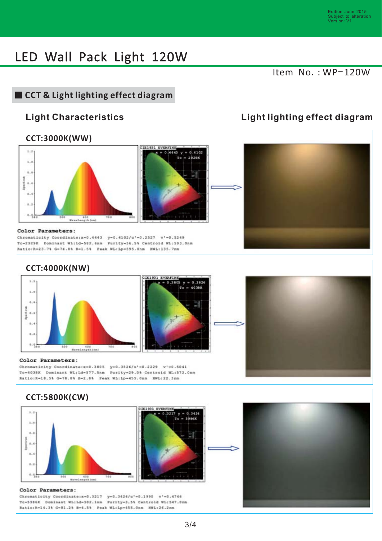#### Item  $No.:WP-120W$

## **CCT & Light lighting effect diagram**

#### **CCT:3000K(WW)**





#### Color Parameters:

Chromaticity Coordinate:x-0.4443 y-0.4102/u'-0.2527 v'-0.5249 Tc-2929K Dominant WL:Ld-582.6nm Purity-56.5% Centroid WL:593.0nm Ratio:R-23.7% G-74.8% B-1.5% Peak WL:Lp-595.0nm HWL:135.7nm

#### **CCT:4000K(NW)**





#### Color Parameters:

Chromaticity Coordinate:x=0.3805 y=0.3826/u'=0.2229 v'=0.5041 Tc=4038K Dominant WL:Ld=577.5nm Purity=29.0% Centroid WL:572.0nm Ratio:R-18.5% G-78.8% B-2.8% Peak WL:Lp-455.0nm HWL:22.3nm

#### **CCT:5800K(CW)**





#### Color Parameters:

Chromaticity Coordinate:x=0.3217 y=0.3424/u'=0.1990 v'=0.4766 Tc-5986K Dominant WL:Ld-502.1nm Purity-3.5% Centroid WL:547.0nm Ratio:R-14.3% G-81.2% B-4.5% Peak WL:Lp-455.0nm HWL:26.2nm

#### **Light Characteristics Light lighting effect diagram**